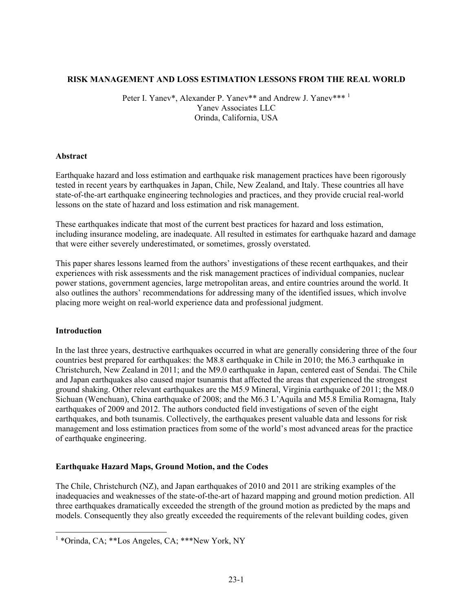#### **RISK MANAGEMENT AND LOSS ESTIMATION LESSONS FROM THE REAL WORLD**

Peter I. Yanev\*, Alexander P. Yanev\*\* and Andrew J. Yanev\*\*\*<sup>1</sup> Yanev Associates LLC Orinda, California, USA

#### **Abstract**

Earthquake hazard and loss estimation and earthquake risk management practices have been rigorously tested in recent years by earthquakes in Japan, Chile, New Zealand, and Italy. These countries all have state-of-the-art earthquake engineering technologies and practices, and they provide crucial real-world lessons on the state of hazard and loss estimation and risk management.

These earthquakes indicate that most of the current best practices for hazard and loss estimation, including insurance modeling, are inadequate. All resulted in estimates for earthquake hazard and damage that were either severely underestimated, or sometimes, grossly overstated.

This paper shares lessons learned from the authors' investigations of these recent earthquakes, and their experiences with risk assessments and the risk management practices of individual companies, nuclear power stations, government agencies, large metropolitan areas, and entire countries around the world. It also outlines the authors' recommendations for addressing many of the identified issues, which involve placing more weight on real-world experience data and professional judgment.

## **Introduction**

 $\overline{a}$ 

In the last three years, destructive earthquakes occurred in what are generally considering three of the four countries best prepared for earthquakes: the M8.8 earthquake in Chile in 2010; the M6.3 earthquake in Christchurch, New Zealand in 2011; and the M9.0 earthquake in Japan, centered east of Sendai. The Chile and Japan earthquakes also caused major tsunamis that affected the areas that experienced the strongest ground shaking. Other relevant earthquakes are the M5.9 Mineral, Virginia earthquake of 2011; the M8.0 Sichuan (Wenchuan), China earthquake of 2008; and the M6.3 L'Aquila and M5.8 Emilia Romagna, Italy earthquakes of 2009 and 2012. The authors conducted field investigations of seven of the eight earthquakes, and both tsunamis. Collectively, the earthquakes present valuable data and lessons for risk management and loss estimation practices from some of the world's most advanced areas for the practice of earthquake engineering.

## **Earthquake Hazard Maps, Ground Motion, and the Codes**

The Chile, Christchurch (NZ), and Japan earthquakes of 2010 and 2011 are striking examples of the inadequacies and weaknesses of the state-of-the-art of hazard mapping and ground motion prediction. All three earthquakes dramatically exceeded the strength of the ground motion as predicted by the maps and models. Consequently they also greatly exceeded the requirements of the relevant building codes, given

<sup>&</sup>lt;sup>1</sup> \*Orinda, CA; \*\*\*Los Angeles, CA; \*\*\*New York, NY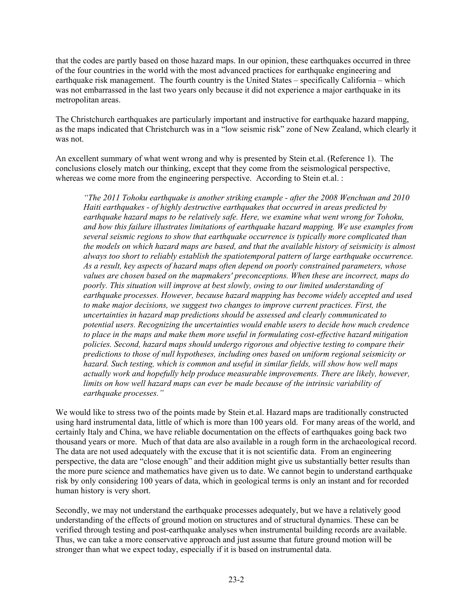that the codes are partly based on those hazard maps. In our opinion, these earthquakes occurred in three of the four countries in the world with the most advanced practices for earthquake engineering and earthquake risk management. The fourth country is the United States – specifically California – which was not embarrassed in the last two years only because it did not experience a major earthquake in its metropolitan areas.

The Christchurch earthquakes are particularly important and instructive for earthquake hazard mapping, as the maps indicated that Christchurch was in a "low seismic risk" zone of New Zealand, which clearly it was not.

An excellent summary of what went wrong and why is presented by Stein et.al. (Reference 1). The conclusions closely match our thinking, except that they come from the seismological perspective, whereas we come more from the engineering perspective. According to Stein et.al. :

*"The 2011 Tohoku earthquake is another striking example - after the 2008 Wenchuan and 2010 Haiti earthquakes - of highly destructive earthquakes that occurred in areas predicted by earthquake hazard maps to be relatively safe. Here, we examine what went wrong for Tohoku, and how this failure illustrates limitations of earthquake hazard mapping. We use examples from several seismic regions to show that earthquake occurrence is typically more complicated than the models on which hazard maps are based, and that the available history of seismicity is almost always too short to reliably establish the spatiotemporal pattern of large earthquake occurrence. As a result, key aspects of hazard maps often depend on poorly constrained parameters, whose values are chosen based on the mapmakers' preconceptions. When these are incorrect, maps do poorly. This situation will improve at best slowly, owing to our limited understanding of earthquake processes. However, because hazard mapping has become widely accepted and used to make major decisions, we suggest two changes to improve current practices. First, the uncertainties in hazard map predictions should be assessed and clearly communicated to potential users. Recognizing the uncertainties would enable users to decide how much credence to place in the maps and make them more useful in formulating cost-effective hazard mitigation policies. Second, hazard maps should undergo rigorous and objective testing to compare their predictions to those of null hypotheses, including ones based on uniform regional seismicity or hazard. Such testing, which is common and useful in similar fields, will show how well maps actually work and hopefully help produce measurable improvements. There are likely, however, limits on how well hazard maps can ever be made because of the intrinsic variability of earthquake processes."* 

We would like to stress two of the points made by Stein et.al. Hazard maps are traditionally constructed using hard instrumental data, little of which is more than 100 years old. For many areas of the world, and certainly Italy and China, we have reliable documentation on the effects of earthquakes going back two thousand years or more. Much of that data are also available in a rough form in the archaeological record. The data are not used adequately with the excuse that it is not scientific data. From an engineering perspective, the data are "close enough" and their addition might give us substantially better results than the more pure science and mathematics have given us to date. We cannot begin to understand earthquake risk by only considering 100 years of data, which in geological terms is only an instant and for recorded human history is very short.

Secondly, we may not understand the earthquake processes adequately, but we have a relatively good understanding of the effects of ground motion on structures and of structural dynamics. These can be verified through testing and post-earthquake analyses when instrumental building records are available. Thus, we can take a more conservative approach and just assume that future ground motion will be stronger than what we expect today, especially if it is based on instrumental data.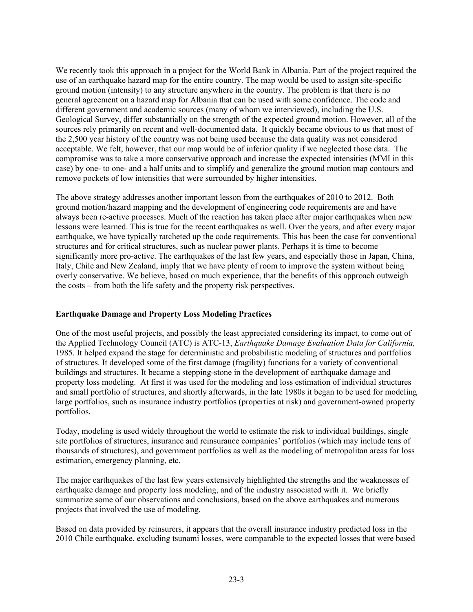We recently took this approach in a project for the World Bank in Albania. Part of the project required the use of an earthquake hazard map for the entire country. The map would be used to assign site-specific ground motion (intensity) to any structure anywhere in the country. The problem is that there is no general agreement on a hazard map for Albania that can be used with some confidence. The code and different government and academic sources (many of whom we interviewed), including the U.S. Geological Survey, differ substantially on the strength of the expected ground motion. However, all of the sources rely primarily on recent and well-documented data. It quickly became obvious to us that most of the 2,500 year history of the country was not being used because the data quality was not considered acceptable. We felt, however, that our map would be of inferior quality if we neglected those data. The compromise was to take a more conservative approach and increase the expected intensities (MMI in this case) by one- to one- and a half units and to simplify and generalize the ground motion map contours and remove pockets of low intensities that were surrounded by higher intensities.

The above strategy addresses another important lesson from the earthquakes of 2010 to 2012. Both ground motion/hazard mapping and the development of engineering code requirements are and have always been re-active processes. Much of the reaction has taken place after major earthquakes when new lessons were learned. This is true for the recent earthquakes as well. Over the years, and after every major earthquake, we have typically ratcheted up the code requirements. This has been the case for conventional structures and for critical structures, such as nuclear power plants. Perhaps it is time to become significantly more pro-active. The earthquakes of the last few years, and especially those in Japan, China, Italy, Chile and New Zealand, imply that we have plenty of room to improve the system without being overly conservative. We believe, based on much experience, that the benefits of this approach outweigh the costs – from both the life safety and the property risk perspectives.

## **Earthquake Damage and Property Loss Modeling Practices**

One of the most useful projects, and possibly the least appreciated considering its impact, to come out of the Applied Technology Council (ATC) is ATC-13, *Earthquake Damage Evaluation Data for California,*  1985. It helped expand the stage for deterministic and probabilistic modeling of structures and portfolios of structures. It developed some of the first damage (fragility) functions for a variety of conventional buildings and structures. It became a stepping-stone in the development of earthquake damage and property loss modeling. At first it was used for the modeling and loss estimation of individual structures and small portfolio of structures, and shortly afterwards, in the late 1980s it began to be used for modeling large portfolios, such as insurance industry portfolios (properties at risk) and government-owned property portfolios.

Today, modeling is used widely throughout the world to estimate the risk to individual buildings, single site portfolios of structures, insurance and reinsurance companies' portfolios (which may include tens of thousands of structures), and government portfolios as well as the modeling of metropolitan areas for loss estimation, emergency planning, etc.

The major earthquakes of the last few years extensively highlighted the strengths and the weaknesses of earthquake damage and property loss modeling, and of the industry associated with it. We briefly summarize some of our observations and conclusions, based on the above earthquakes and numerous projects that involved the use of modeling.

Based on data provided by reinsurers, it appears that the overall insurance industry predicted loss in the 2010 Chile earthquake, excluding tsunami losses, were comparable to the expected losses that were based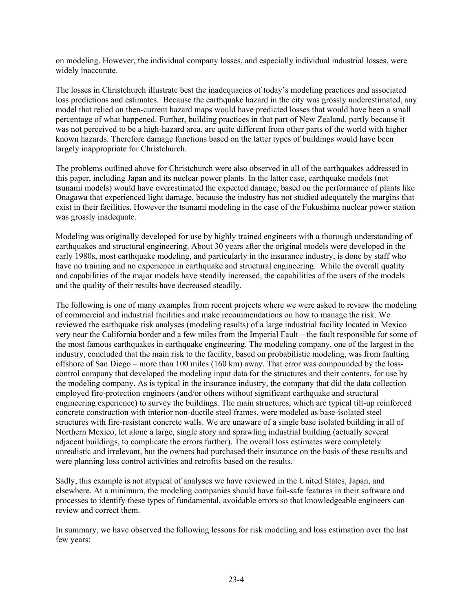on modeling. However, the individual company losses, and especially individual industrial losses, were widely inaccurate.

The losses in Christchurch illustrate best the inadequacies of today's modeling practices and associated loss predictions and estimates. Because the earthquake hazard in the city was grossly underestimated, any model that relied on then-current hazard maps would have predicted losses that would have been a small percentage of what happened. Further, building practices in that part of New Zealand, partly because it was not perceived to be a high-hazard area, are quite different from other parts of the world with higher known hazards. Therefore damage functions based on the latter types of buildings would have been largely inappropriate for Christchurch.

The problems outlined above for Christchurch were also observed in all of the earthquakes addressed in this paper, including Japan and its nuclear power plants. In the latter case, earthquake models (not tsunami models) would have overestimated the expected damage, based on the performance of plants like Onagawa that experienced light damage, because the industry has not studied adequately the margins that exist in their facilities. However the tsunami modeling in the case of the Fukushima nuclear power station was grossly inadequate.

Modeling was originally developed for use by highly trained engineers with a thorough understanding of earthquakes and structural engineering. About 30 years after the original models were developed in the early 1980s, most earthquake modeling, and particularly in the insurance industry, is done by staff who have no training and no experience in earthquake and structural engineering. While the overall quality and capabilities of the major models have steadily increased, the capabilities of the users of the models and the quality of their results have decreased steadily.

The following is one of many examples from recent projects where we were asked to review the modeling of commercial and industrial facilities and make recommendations on how to manage the risk. We reviewed the earthquake risk analyses (modeling results) of a large industrial facility located in Mexico very near the California border and a few miles from the Imperial Fault – the fault responsible for some of the most famous earthquakes in earthquake engineering. The modeling company, one of the largest in the industry, concluded that the main risk to the facility, based on probabilistic modeling, was from faulting offshore of San Diego – more than 100 miles (160 km) away. That error was compounded by the losscontrol company that developed the modeling input data for the structures and their contents, for use by the modeling company. As is typical in the insurance industry, the company that did the data collection employed fire-protection engineers (and/or others without significant earthquake and structural engineering experience) to survey the buildings. The main structures, which are typical tilt-up reinforced concrete construction with interior non-ductile steel frames, were modeled as base-isolated steel structures with fire-resistant concrete walls. We are unaware of a single base isolated building in all of Northern Mexico, let alone a large, single story and sprawling industrial building (actually several adjacent buildings, to complicate the errors further). The overall loss estimates were completely unrealistic and irrelevant, but the owners had purchased their insurance on the basis of these results and were planning loss control activities and retrofits based on the results.

Sadly, this example is not atypical of analyses we have reviewed in the United States, Japan, and elsewhere. At a minimum, the modeling companies should have fail-safe features in their software and processes to identify these types of fundamental, avoidable errors so that knowledgeable engineers can review and correct them.

In summary, we have observed the following lessons for risk modeling and loss estimation over the last few years: